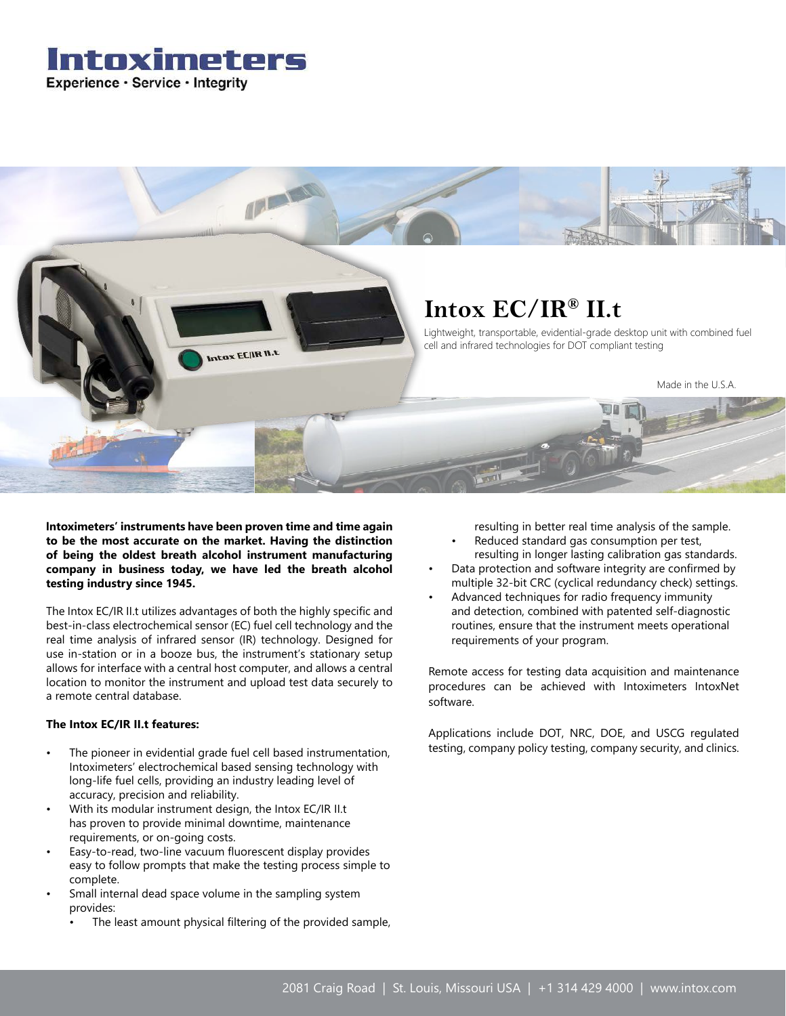## Intoximeters Experience · Service · Integrity



**Intoximeters' instruments have been proven time and time again to be the most accurate on the market. Having the distinction of being the oldest breath alcohol instrument manufacturing company in business today, we have led the breath alcohol testing industry since 1945.**

The Intox EC/IR II.t utilizes advantages of both the highly specific and best-in-class electrochemical sensor (EC) fuel cell technology and the real time analysis of infrared sensor (IR) technology. Designed for use in-station or in a booze bus, the instrument's stationary setup allows for interface with a central host computer, and allows a central location to monitor the instrument and upload test data securely to a remote central database.

## **The Intox EC/IR II.t features:**

- The pioneer in evidential grade fuel cell based instrumentation, Intoximeters' electrochemical based sensing technology with long-life fuel cells, providing an industry leading level of accuracy, precision and reliability.
- With its modular instrument design, the Intox EC/IR II.t has proven to provide minimal downtime, maintenance requirements, or on-going costs.
- Easy-to-read, two-line vacuum fluorescent display provides easy to follow prompts that make the testing process simple to complete.
- Small internal dead space volume in the sampling system provides:
	- The least amount physical filtering of the provided sample,

resulting in better real time analysis of the sample.

- Reduced standard gas consumption per test, resulting in longer lasting calibration gas standards.
- Data protection and software integrity are confirmed by multiple 32-bit CRC (cyclical redundancy check) settings.
- Advanced techniques for radio frequency immunity and detection, combined with patented self-diagnostic routines, ensure that the instrument meets operational requirements of your program.

Remote access for testing data acquisition and maintenance procedures can be achieved with Intoximeters IntoxNet software.

Applications include DOT, NRC, DOE, and USCG regulated testing, company policy testing, company security, and clinics.